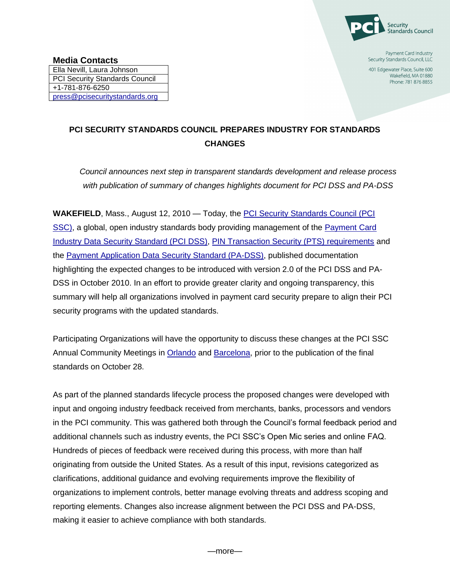

Payment Card Industry Security Standards Council, LLC

401 Edgewater Place, Suite 600 Wakefield, MA 01880 Phone: 781 876 8855

## **PCI SECURITY STANDARDS COUNCIL PREPARES INDUSTRY FOR STANDARDS CHANGES**

*Council announces next step in transparent standards development and release process with publication of summary of changes highlights document for PCI DSS and PA-DSS* 

**WAKEFIELD, Mass., August 12, 2010 — Today, the PCI Security Standards Council (PCI)** [SSC\),](https://www.pcisecuritystandards.org/index.shtml) a global, open industry standards body providing management of the [Payment Card](https://www.pcisecuritystandards.org/security_standards/pci_dss.shtml)  [Industry Data Security Standard \(PCI DSS\),](https://www.pcisecuritystandards.org/security_standards/pci_dss.shtml) [PIN Transaction Security \(PTS\) requirements](https://www.pcisecuritystandards.org/security_standards/ped/index.shtml) and the [Payment Application Data Security Standard \(PA-DSS\),](https://www.pcisecuritystandards.org/security_standards/pa_dss.shtml) published documentation highlighting the expected changes to be introduced with version 2.0 of the PCI DSS and PA-DSS in October 2010. In an effort to provide greater clarity and ongoing transparency, this summary will help all organizations involved in payment card security prepare to align their PCI security programs with the updated standards.

Participating Organizations will have the opportunity to discuss these changes at the PCI SSC Annual Community Meetings in [Orlando](https://www.pcisecuritystandards.org/community_meeting_2010/orlando/index.shtml) and [Barcelona,](https://www.pcisecuritystandards.org/community_meeting_2010/barcelona/index.shtml) prior to the publication of the final standards on October 28.

As part of the planned standards lifecycle process the proposed changes were developed with input and ongoing industry feedback received from merchants, banks, processors and vendors in the PCI community. This was gathered both through the Council's formal feedback period and additional channels such as industry events, the PCI SSC's Open Mic series and online FAQ. Hundreds of pieces of feedback were received during this process, with more than half originating from outside the United States. As a result of this input, revisions categorized as clarifications, additional guidance and evolving requirements improve the flexibility of organizations to implement controls, better manage evolving threats and address scoping and reporting elements. Changes also increase alignment between the PCI DSS and PA-DSS, making it easier to achieve compliance with both standards.

—more—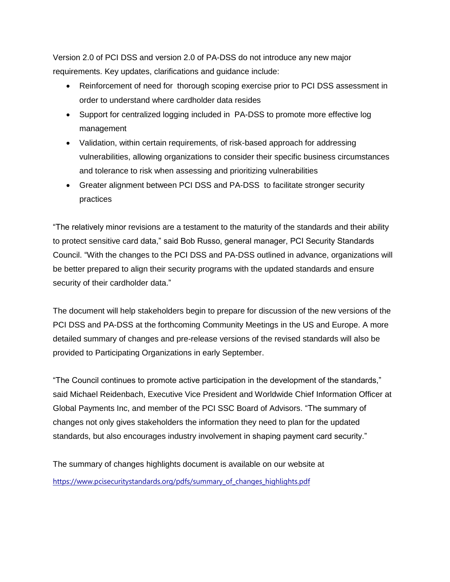Version 2.0 of PCI DSS and version 2.0 of PA-DSS do not introduce any new major requirements. Key updates, clarifications and guidance include:

- Reinforcement of need for thorough scoping exercise prior to PCI DSS assessment in order to understand where cardholder data resides
- Support for centralized logging included in PA-DSS to promote more effective log management
- Validation, within certain requirements, of risk-based approach for addressing vulnerabilities, allowing organizations to consider their specific business circumstances and tolerance to risk when assessing and prioritizing vulnerabilities
- Greater alignment between PCI DSS and PA-DSS to facilitate stronger security practices

"The relatively minor revisions are a testament to the maturity of the standards and their ability to protect sensitive card data," said Bob Russo, general manager, PCI Security Standards Council. "With the changes to the PCI DSS and PA-DSS outlined in advance, organizations will be better prepared to align their security programs with the updated standards and ensure security of their cardholder data."

The document will help stakeholders begin to prepare for discussion of the new versions of the PCI DSS and PA-DSS at the forthcoming Community Meetings in the US and Europe. A more detailed summary of changes and pre-release versions of the revised standards will also be provided to Participating Organizations in early September.

"The Council continues to promote active participation in the development of the standards," said Michael Reidenbach, Executive Vice President and Worldwide Chief Information Officer at Global Payments Inc, and member of the PCI SSC Board of Advisors. "The summary of changes not only gives stakeholders the information they need to plan for the updated standards, but also encourages industry involvement in shaping payment card security."

The summary of changes highlights document is available on our website at [https://www.pcisecuritystandards.org/pdfs/summary\\_of\\_changes\\_highlights.pdf](https://www.pcisecuritystandards.org/pdfs/summary_of_changes_highlights.pdf)